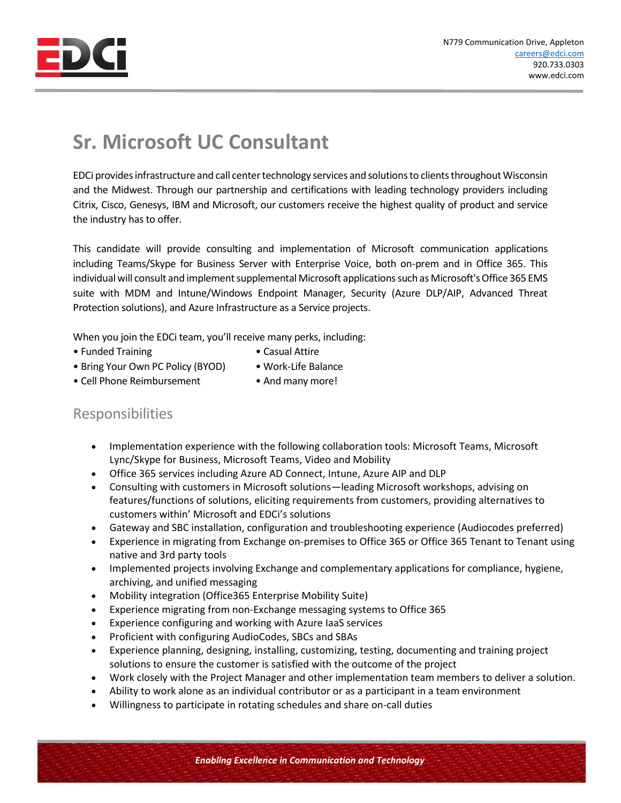

## **Sr. Microsoft UC Consultant**

EDCi provides infrastructure and call center technology services and solutions to clients throughout Wisconsin and the Midwest. Through our partnership and certifications with leading technology providers including Citrix, Cisco, Genesys, IBM and Microsoft, our customers receive the highest quality of product and service the industry has to offer.

This candidate will provide consulting and implementation of Microsoft communication applications including Teams/Skype for Business Server with Enterprise Voice, both on-prem and in Office 365. This individual will consult and implement supplemental Microsoft applications such as Microsoft's Office 365 EMS suite with MDM and Intune/Windows Endpoint Manager, Security (Azure DLP/AIP, Advanced Threat Protection solutions), and Azure Infrastructure as a Service projects.

When you join the EDCi team, you'll receive many perks, including:

- Funded Training  **Casual Attire**
- 
- Bring Your Own PC Policy (BYOD) Work-Life Balance
	-
- Cell Phone Reimbursement And many more!
- 

## Responsibilities

- Implementation experience with the following collaboration tools: Microsoft Teams, Microsoft Lync/Skype for Business, Microsoft Teams, Video and Mobility
- Office 365 services including Azure AD Connect, Intune, Azure AIP and DLP
- Consulting with customers in Microsoft solutions—leading Microsoft workshops, advising on features/functions of solutions, eliciting requirements from customers, providing alternatives to customers within' Microsoft and EDCi's solutions
- Gateway and SBC installation, configuration and troubleshooting experience (Audiocodes preferred)
- Experience in migrating from Exchange on-premises to Office 365 or Office 365 Tenant to Tenant using native and 3rd party tools
- Implemented projects involving Exchange and complementary applications for compliance, hygiene, archiving, and unified messaging
- Mobility integration (Office365 Enterprise Mobility Suite)
- Experience migrating from non-Exchange messaging systems to Office 365
- Experience configuring and working with Azure IaaS services
- Proficient with configuring AudioCodes, SBCs and SBAs
- Experience planning, designing, installing, customizing, testing, documenting and training project solutions to ensure the customer is satisfied with the outcome of the project
- Work closely with the Project Manager and other implementation team members to deliver a solution.
- Ability to work alone as an individual contributor or as a participant in a team environment
- Willingness to participate in rotating schedules and share on-call duties